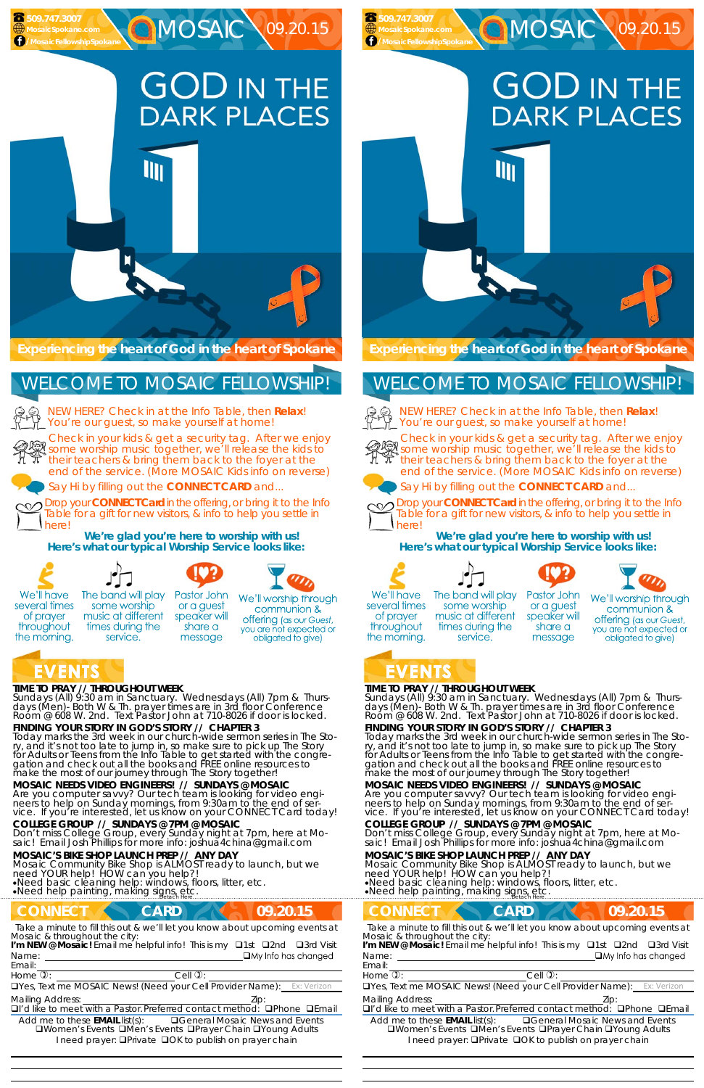# **GOD IN THE DARK PLACES**

**MOSAIC \09.20.15** 

#### **TIME TO PRAY // THROUGHOUT WEEK**

*Sundays* (All) 9:30 am in Sanctuary. *Wednesdays* (All) 7pm & *Thursdays* (Men)- Both W & Th. prayer times are in 3rd floor Conference<br>Room @ 608 W. 2nd. Text Pastor John at 710-8026 if door is locked.

#### **FINDING YOUR STORY IN GOD'S STORY // CHAPTER 3**

neers to help on Sunday mornings, from 9:30am to the end of service. If you're interested, let us know on your CONNECT Card today!

Today marks the 3rd week in our church-wide sermon series in The Story, and it's not too late to jump in, so make sure to pick up The Story for Adults or Teens from the Info Table to get started with the congregation and check out all the books and FREE online resources to make the most of our journey through The Story together!

Mosaic Community Bike Shop is ALMOST ready to launch, but we need YOUR help! HOW can you help?! Need basic cleaning help: windows, floors, litter, etc.

**MOSAIC NEEDS VIDEO ENGINEERS! // SUNDAYS @ MOSAIC**  Are you computer savvy? Our tech team is looking for video engi**GOD IN THE DARK PLACES** 

MOSAIC \09.20.15

NEW HERE? Check in at the Info Table, then **Relax**! You're our guest, so make yourself at home!

#### **COLLEGE GROUP // SUNDAYS @ 7PM @ MOSAIC**

Don't miss College Group, every Sunday night at 7pm, here at Mo-<br>saic! Email Josh Phillips for more info: joshua4china@gmail.com

#### **MOSAIC'S BIKE SHOP LAUNCH PREP // ANY DAY**

Need help painting, making signs, etc. ……………………….……………………………………………………….Detach Here……………………………………………..…………………………………

### **CONNECT CARD 4 09.20.15**

*Sundays* (All) 9:30 am in Sanctuary. *Wednesdays* (All) 7pm & *Thursdays* (Men)- Both W & Th. prayer times are in 3rd floor Conference<br>Room @ 608 W. 2nd. Text Pastor John at 710-8026 if door is locked.



**FINDING YOUR STORY IN GOD'S STORY // CHAPTER 3**  Today marks the 3rd week in our church-wide sermon series in The Story, and it's not too late to jump in, so make sure to pick up The Story for Adults or Teens from the Info Table to get started with the congre-

Check in your kids & get a security tag. After we enjoy Streck in your kids & get a security tag. After we enjoy<br>Some worship music together, we'll release the kids to their teachers & bring them back to the foyer at the end of the service. (More MOSAIC Kids info on reverse)

Say Hi by filling out the **CONNECT CARD** and...

neers to help on Sunday mornings, from 9:30am to the end of service. If you're interested, let us know on your CONNECT Card today!

Drop your **CONNECT Card** in the offering, or bring it to the Info Table for a gift for new visitors, & info to help you settle in here!

**We're glad you're here to worship with us! Here's what our typical Worship Service looks like:** 



several times

of prayer

throughout

the morning.

The band will play

some worship

music at different

times during the

service.



Pastor John

or a guest

speaker will

share a

message







We'll worship through communion &

**offering** (as our Guest, you are not expected or obligated to give)

# EVENIS

 **509.747.3007 MosaicSpokane.com /MosaicFellowshipSpokane**

> NEW HERE? Check in at the Info Table, then **Relax**! You're our guest, so make yourself at home!



## WELCOME TO MOSAIC FELLOWSHIP!

Email:

*Take a minute to fill this out & we'll let you know about upcoming events at Mosaic & throughout the city:* 

Name: <u>Quantity and Contract and Contract and Contract and Contract and Contract and Contract and Contract and Contract and Contract and Contract and Contract and Contract and Contract and Contract and Contract and Contrac</u> **I'm NEW @ Mosaic!** Email me helpful info! This is my □1st □2nd □3rd Visit

 

Home  $\mathbb{D}$ :  $\qquad \qquad$  Cell  $\mathbb{D}$ :

TYes, Text me MOSAIC News! (Need your Cell Provider Name):

Mailing Address: **Mailing Address: 2ip:** 

 $\Box$ I'd like to meet with a Pastor. Preferred contact method:  $\Box$ Phone  $\Box$ Email

Add me to these **EMAIL** list(s): General Mosaic News and Events **QWomen's Events QMen's Events QPrayer Chain QYoung Adults** I need prayer: **QPrivate QOK to publish on prayer chain** 

#### **TIME TO PRAY // THROUGHOUT WEEK**

gation and check out all the books and FREE online resources to make the most of our journey through The Story together! **MOSAIC NEEDS VIDEO ENGINEERS! // SUNDAYS @ MOSAIC**  Are you computer savvy? Our tech team is looking for video engi-

#### **COLLEGE GROUP // SUNDAYS @ 7PM @ MOSAIC**

Don't miss College Group, every Sunday night at 7pm, here at Mo-<br>saic! Email Josh Phillips for more info: joshua4china@gmail.com

#### **MOSAIC'S BIKE SHOP LAUNCH PREP // ANY DAY**

Mosaic Community Bike Shop is ALMOST ready to launch, but we need YOUR help! HOW can you help?!

Need basic cleaning help: windows, floors, litter, etc. Need help painting, making signs, etc. ……………………….……………………………………………………….Detach Here……………………………………………..…………………………………

#### **CONNECT CARD 109.20.15** *Take a minute to fill this out & we'll let you know about upcoming events at* Name: Email: Home  $\mathbb{D}$ :  $\qquad \qquad$  Cell  $\mathbb{D}$ : Yes, Text me MOSAIC News! (Need your Cell Provider Name): Ex: Verizon Mailing Address: The Mailing Address: The Mailing Address: The Mailing Address: The Mailing Address: The Mailing Address: The Mailing Address: The Mailing Address: The Mailing Address: The Mailing Address: The Mailing Addr  $\Box$ I'd like to meet with a Pastor. Preferred contact method:  $\Box$ Phone  $\Box$ Email Add me to these **EMAIL** list(s): General Mosaic News and Events **QWomen's Events QMen's Events QPrayer Chain QYoung Adults** I need prayer: **QPrivate QOK to publish on prayer chain** *Mosaic & throughout the city:*  **I'm NEW @ Mosaic!** Email me helpful info! This is my □1st □2nd □3rd Visit

**Experiencing the heart of God in the heart of Spokane** 

**III** 

Check in your kids & get a security tag. After we enjoy STIECK IIT your kids a get a security tag. After we enjoy<br>some worship music together, we'll release the kids to<br>Their teachers & bring them back to the fover at the their teachers & bring them back to the foyer at the end of the service. (More MOSAIC Kids info on reverse)



Say Hi by filling out the **CONNECT CARD** and...



Drop your **CONNECT Card** in the offering, or bring it to the Info Table for a gift for new visitors, & info to help you settle in here!

**We're glad you're here to worship with us! Here's what our typical Worship Service looks like:** 



several times

of prayer

throughout



some worship

music at different

times during the

service.



or a guest

speaker will

share a

message





We'll worship through communion & **offering** (as our Guest, you are not expected or obligated to give)

# the morning.

 **509.747.3007 MosaicSpokane.com /MosaicFellowshipSpokane**

# WELCOME TO MOSAIC FELLOWSHIP!